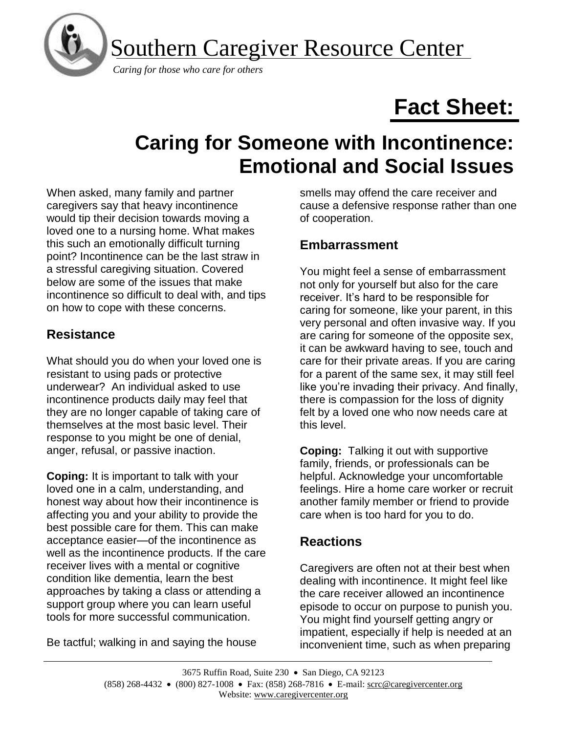Southern Caregiver Resource Center



 *Caring for those who care for others*

# **Fact Sheet:**

# **Caring for Someone with Incontinence: Emotional and Social Issues**

When asked, many family and partner caregivers say that heavy incontinence would tip their decision towards moving a loved one to a nursing home. What makes this such an emotionally difficult turning point? Incontinence can be the last straw in a stressful caregiving situation. Covered below are some of the issues that make incontinence so difficult to deal with, and tips on how to cope with these concerns.

## **Resistance**

What should you do when your loved one is resistant to using pads or protective underwear? An individual asked to use incontinence products daily may feel that they are no longer capable of taking care of themselves at the most basic level. Their response to you might be one of denial, anger, refusal, or passive inaction.

**Coping:** It is important to talk with your loved one in a calm, understanding, and honest way about how their incontinence is affecting you and your ability to provide the best possible care for them. This can make acceptance easier—of the incontinence as well as the incontinence products. If the care receiver lives with a mental or cognitive condition like dementia, learn the best approaches by taking a class or attending a support group where you can learn useful tools for more successful communication.

Be tactful; walking in and saying the house

smells may offend the care receiver and cause a defensive response rather than one of cooperation.

#### **Embarrassment**

You might feel a sense of embarrassment not only for yourself but also for the care receiver. It's hard to be responsible for caring for someone, like your parent, in this very personal and often invasive way. If you are caring for someone of the opposite sex, it can be awkward having to see, touch and care for their private areas. If you are caring for a parent of the same sex, it may still feel like you're invading their privacy. And finally, there is compassion for the loss of dignity felt by a loved one who now needs care at this level.

**Coping:** Talking it out with supportive family, friends, or professionals can be helpful. Acknowledge your uncomfortable feelings. Hire a home care worker or recruit another family member or friend to provide care when is too hard for you to do.

# **Reactions**

Caregivers are often not at their best when dealing with incontinence. It might feel like the care receiver allowed an incontinence episode to occur on purpose to punish you. You might find yourself getting angry or impatient, especially if help is needed at an inconvenient time, such as when preparing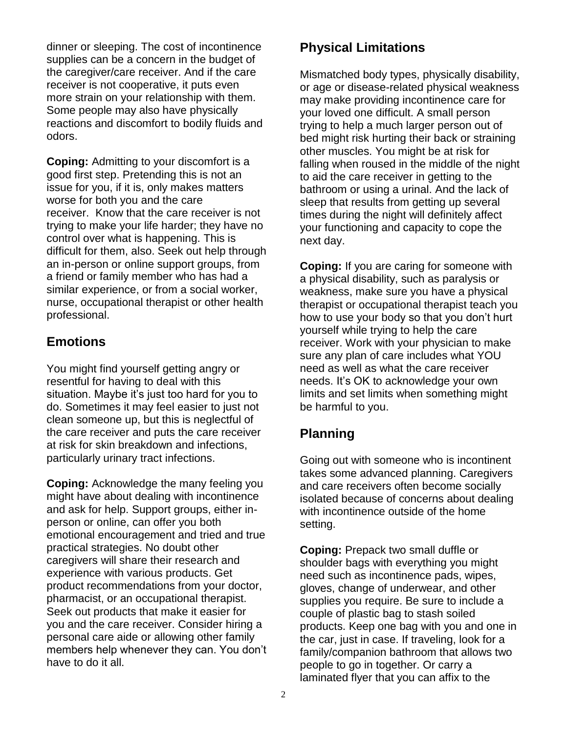dinner or sleeping. The cost of incontinence supplies can be a concern in the budget of the caregiver/care receiver. And if the care receiver is not cooperative, it puts even more strain on your relationship with them. Some people may also have physically reactions and discomfort to bodily fluids and odors.

**Coping:** Admitting to your discomfort is a good first step. Pretending this is not an issue for you, if it is, only makes matters worse for both you and the care receiver. Know that the care receiver is not trying to make your life harder; they have no control over what is happening. This is difficult for them, also. Seek out help through an in-person or online support groups, from a friend or family member who has had a similar experience, or from a social worker, nurse, occupational therapist or other health professional.

#### **Emotions**

You might find yourself getting angry or resentful for having to deal with this situation. Maybe it's just too hard for you to do. Sometimes it may feel easier to just not clean someone up, but this is neglectful of the care receiver and puts the care receiver at risk for skin breakdown and infections, particularly urinary tract infections.

**Coping:** Acknowledge the many feeling you might have about dealing with incontinence and ask for help. Support groups, either inperson or online, can offer you both emotional encouragement and tried and true practical strategies. No doubt other caregivers will share their research and experience with various products. Get product recommendations from your doctor, pharmacist, or an occupational therapist. Seek out products that make it easier for you and the care receiver. Consider hiring a personal care aide or allowing other family members help whenever they can. You don't have to do it all.

#### **Physical Limitations**

Mismatched body types, physically disability, or age or disease-related physical weakness may make providing incontinence care for your loved one difficult. A small person trying to help a much larger person out of bed might risk hurting their back or straining other muscles. You might be at risk for falling when roused in the middle of the night to aid the care receiver in getting to the bathroom or using a urinal. And the lack of sleep that results from getting up several times during the night will definitely affect your functioning and capacity to cope the next day.

**Coping:** If you are caring for someone with a physical disability, such as paralysis or weakness, make sure you have a physical therapist or occupational therapist teach you how to use your body so that you don't hurt yourself while trying to help the care receiver. Work with your physician to make sure any plan of care includes what YOU need as well as what the care receiver needs. It's OK to acknowledge your own limits and set limits when something might be harmful to you.

### **Planning**

Going out with someone who is incontinent takes some advanced planning. Caregivers and care receivers often become socially isolated because of concerns about dealing with incontinence outside of the home setting.

**Coping:** Prepack two small duffle or shoulder bags with everything you might need such as incontinence pads, wipes, gloves, change of underwear, and other supplies you require. Be sure to include a couple of plastic bag to stash soiled products. Keep one bag with you and one in the car, just in case. If traveling, look for a family/companion bathroom that allows two people to go in together. Or carry a laminated flyer that you can affix to the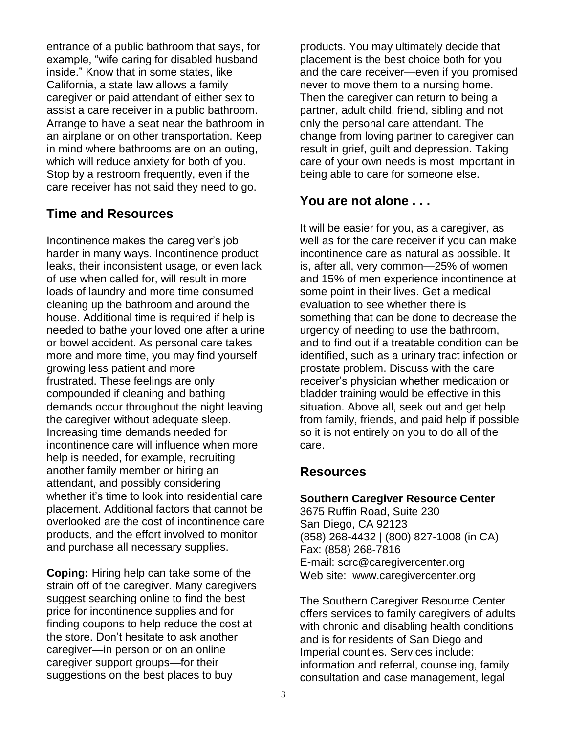entrance of a public bathroom that says, for example, "wife caring for disabled husband inside." Know that in some states, like California, a state law allows a family caregiver or paid attendant of either sex to assist a care receiver in a public bathroom. Arrange to have a seat near the bathroom in an airplane or on other transportation. Keep in mind where bathrooms are on an outing, which will reduce anxiety for both of you. Stop by a restroom frequently, even if the care receiver has not said they need to go.

#### **Time and Resources**

Incontinence makes the caregiver's job harder in many ways. Incontinence product leaks, their inconsistent usage, or even lack of use when called for, will result in more loads of laundry and more time consumed cleaning up the bathroom and around the house. Additional time is required if help is needed to bathe your loved one after a urine or bowel accident. As personal care takes more and more time, you may find yourself growing less patient and more frustrated. These feelings are only compounded if cleaning and bathing demands occur throughout the night leaving the caregiver without adequate sleep. Increasing time demands needed for incontinence care will influence when more help is needed, for example, recruiting another family member or hiring an attendant, and possibly considering whether it's time to look into residential care placement. Additional factors that cannot be overlooked are the cost of incontinence care products, and the effort involved to monitor and purchase all necessary supplies.

**Coping:** Hiring help can take some of the strain off of the caregiver. Many caregivers suggest searching online to find the best price for incontinence supplies and for finding coupons to help reduce the cost at the store. Don't hesitate to ask another caregiver—in person or on an online caregiver support groups—for their suggestions on the best places to buy

products. You may ultimately decide that placement is the best choice both for you and the care receiver—even if you promised never to move them to a nursing home. Then the caregiver can return to being a partner, adult child, friend, sibling and not only the personal care attendant. The change from loving partner to caregiver can result in grief, guilt and depression. Taking care of your own needs is most important in being able to care for someone else.

#### **You are not alone . . .**

It will be easier for you, as a caregiver, as well as for the care receiver if you can make incontinence care as natural as possible. It is, after all, very common—25% of women and 15% of men experience incontinence at some point in their lives. Get a medical evaluation to see whether there is something that can be done to decrease the urgency of needing to use the bathroom, and to find out if a treatable condition can be identified, such as a urinary tract infection or prostate problem. Discuss with the care receiver's physician whether medication or bladder training would be effective in this situation. Above all, seek out and get help from family, friends, and paid help if possible so it is not entirely on you to do all of the care.

#### **Resources**

#### **Southern Caregiver Resource Center**

3675 Ruffin Road, Suite 230 San Diego, CA 92123 (858) 268-4432 | (800) 827-1008 (in CA) Fax: (858) 268-7816 E-mail: scrc@caregivercenter.org Web site: [www.caregivercenter.org](http://www.caregivercenter.org/)

The Southern Caregiver Resource Center offers services to family caregivers of adults with chronic and disabling health conditions and is for residents of San Diego and Imperial counties. Services include: information and referral, counseling, family consultation and case management, legal